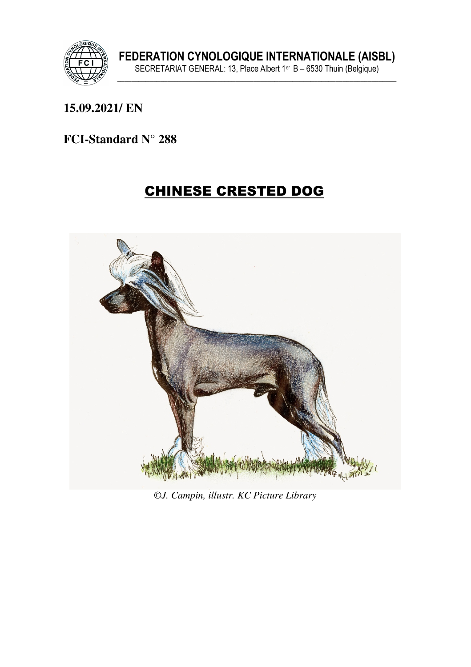

#### **15.09.2021/ EN**

#### **FCI-Standard N° 288**

# CHINESE CRESTED DOG



©*J. Campin, illustr. KC Picture Library*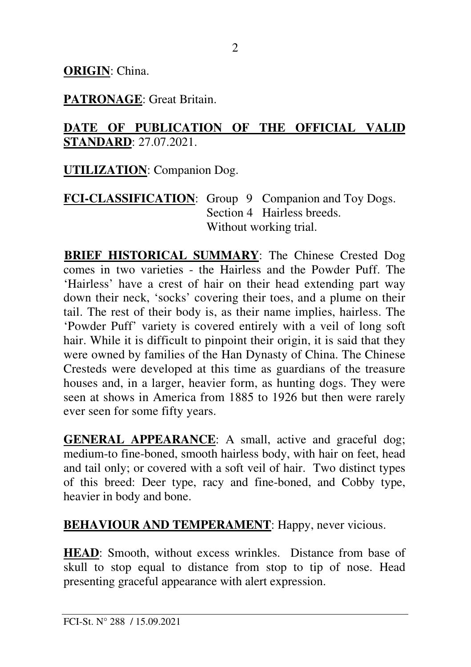**ORIGIN**: China.

**PATRONAGE**: Great Britain.

#### **DATE OF PUBLICATION OF THE OFFICIAL VALID STANDARD**: 27.07.2021.

**UTILIZATION**: Companion Dog.

**FCI-CLASSIFICATION**: Group 9 Companion and Toy Dogs. Section 4 Hairless breeds. Without working trial.

**BRIEF HISTORICAL SUMMARY**: The Chinese Crested Dog comes in two varieties - the Hairless and the Powder Puff. The 'Hairless' have a crest of hair on their head extending part way down their neck, 'socks' covering their toes, and a plume on their tail. The rest of their body is, as their name implies, hairless. The 'Powder Puff' variety is covered entirely with a veil of long soft hair. While it is difficult to pinpoint their origin, it is said that they were owned by families of the Han Dynasty of China. The Chinese Cresteds were developed at this time as guardians of the treasure houses and, in a larger, heavier form, as hunting dogs. They were seen at shows in America from 1885 to 1926 but then were rarely ever seen for some fifty years.

**GENERAL APPEARANCE**: A small, active and graceful dog; medium-to fine-boned, smooth hairless body, with hair on feet, head and tail only; or covered with a soft veil of hair. Two distinct types of this breed: Deer type, racy and fine-boned, and Cobby type, heavier in body and bone.

**BEHAVIOUR AND TEMPERAMENT:** Happy, never vicious.

**HEAD**: Smooth, without excess wrinkles. Distance from base of skull to stop equal to distance from stop to tip of nose. Head presenting graceful appearance with alert expression.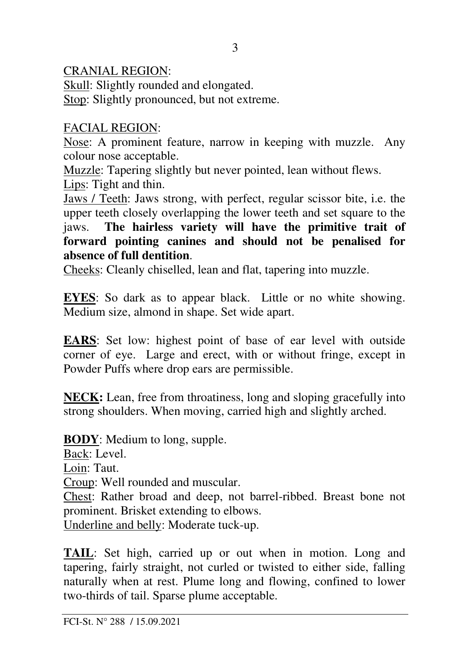#### CRANIAL REGION:

Skull: Slightly rounded and elongated. Stop: Slightly pronounced, but not extreme.

#### FACIAL REGION:

Nose: A prominent feature, narrow in keeping with muzzle. Any colour nose acceptable.

Muzzle: Tapering slightly but never pointed, lean without flews. Lips: Tight and thin.

Jaws / Teeth: Jaws strong, with perfect, regular scissor bite, i.e. the upper teeth closely overlapping the lower teeth and set square to the jaws. **The hairless variety will have the primitive trait of forward pointing canines and should not be penalised for absence of full dentition**.

Cheeks: Cleanly chiselled, lean and flat, tapering into muzzle.

**EYES**: So dark as to appear black. Little or no white showing. Medium size, almond in shape. Set wide apart.

**EARS**: Set low: highest point of base of ear level with outside corner of eye. Large and erect, with or without fringe, except in Powder Puffs where drop ears are permissible.

**NECK:** Lean, free from throatiness, long and sloping gracefully into strong shoulders. When moving, carried high and slightly arched.

**BODY**: Medium to long, supple. Back: Level. Loin: Taut. Croup: Well rounded and muscular. Chest: Rather broad and deep, not barrel-ribbed. Breast bone not prominent. Brisket extending to elbows. Underline and belly: Moderate tuck-up.

**TAIL**: Set high, carried up or out when in motion. Long and tapering, fairly straight, not curled or twisted to either side, falling naturally when at rest. Plume long and flowing, confined to lower two-thirds of tail. Sparse plume acceptable.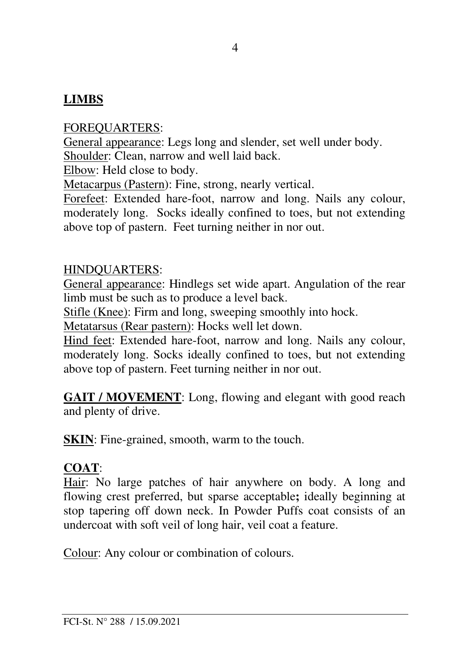# **LIMBS**

FOREQUARTERS:

General appearance: Legs long and slender, set well under body. Shoulder: Clean, narrow and well laid back.

Elbow: Held close to body.

Metacarpus (Pastern): Fine, strong, nearly vertical.

Forefeet: Extended hare-foot, narrow and long. Nails any colour, moderately long. Socks ideally confined to toes, but not extending above top of pastern. Feet turning neither in nor out.

#### HINDQUARTERS:

General appearance: Hindlegs set wide apart. Angulation of the rear limb must be such as to produce a level back.

Stifle (Knee): Firm and long, sweeping smoothly into hock.

Metatarsus (Rear pastern): Hocks well let down.

Hind feet: Extended hare-foot, narrow and long. Nails any colour, moderately long. Socks ideally confined to toes, but not extending above top of pastern. Feet turning neither in nor out.

**GAIT / MOVEMENT**: Long, flowing and elegant with good reach and plenty of drive.

**SKIN**: Fine-grained, smooth, warm to the touch.

# **COAT**:

Hair: No large patches of hair anywhere on body. A long and flowing crest preferred, but sparse acceptable**;** ideally beginning at stop tapering off down neck. In Powder Puffs coat consists of an undercoat with soft veil of long hair, veil coat a feature.

Colour: Any colour or combination of colours.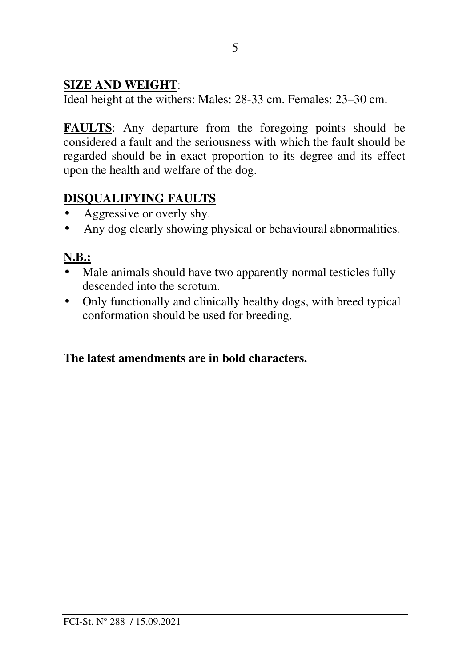#### **SIZE AND WEIGHT**:

Ideal height at the withers: Males: 28-33 cm. Females: 23–30 cm.

**FAULTS**: Any departure from the foregoing points should be considered a fault and the seriousness with which the fault should be regarded should be in exact proportion to its degree and its effect upon the health and welfare of the dog.

# **DISQUALIFYING FAULTS**

- Aggressive or overly shy.
- Any dog clearly showing physical or behavioural abnormalities.

# **N.B.:**

- Male animals should have two apparently normal testicles fully descended into the scrotum.
- Only functionally and clinically healthy dogs, with breed typical conformation should be used for breeding.

# **The latest amendments are in bold characters.**